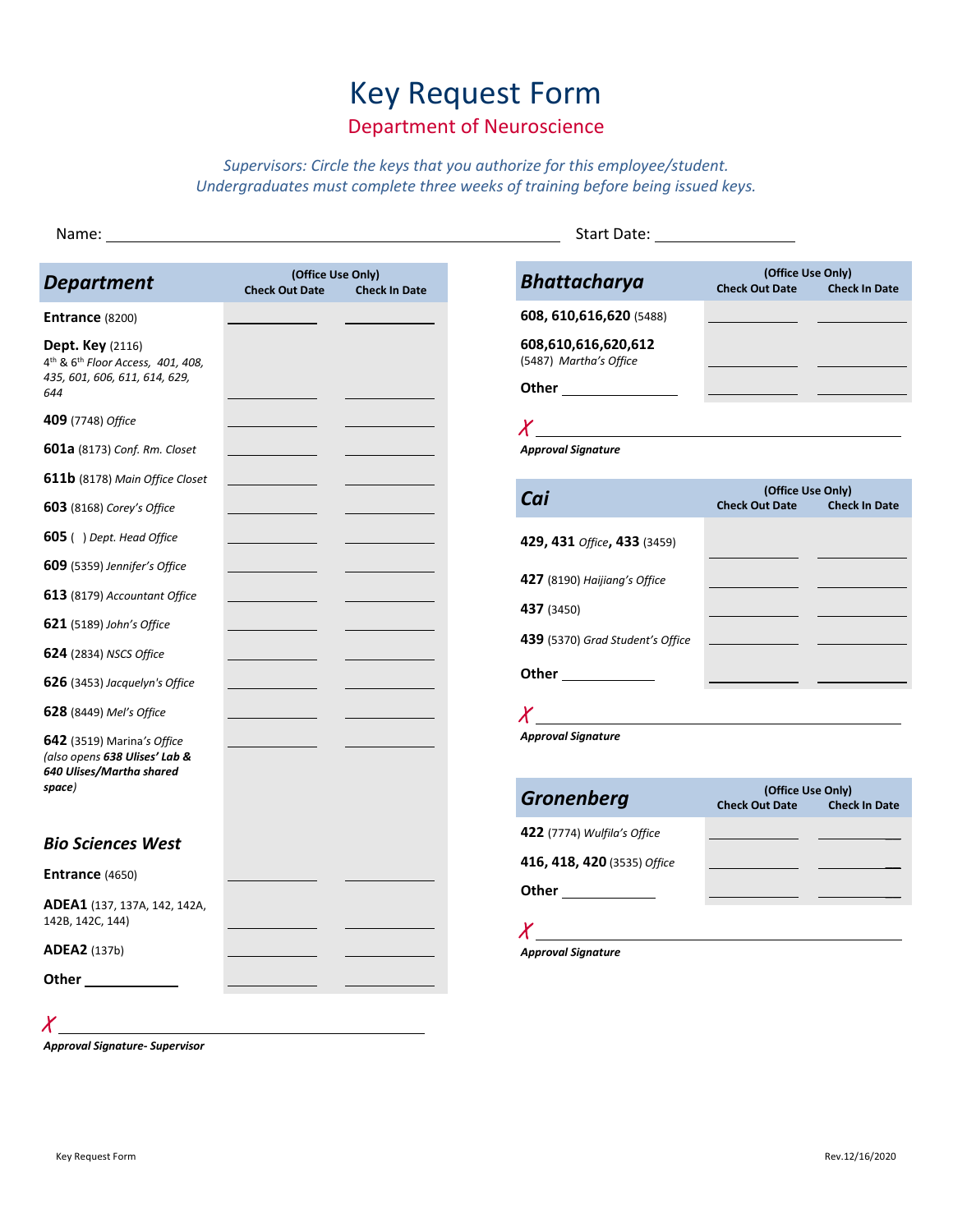# Key Request Form

## Department of Neuroscience

*Supervisors: Circle the keys that you authorize for this employee/student. Undergraduates must complete three weeks of training before being issued keys.*

| <b>Department</b>                                                                                                            | (Office Use Only)<br><b>Check Out Date</b> | <b>Check In Date</b> | <b>Bhattacharya</b>                                                                                                                                                                                                           | (Office Use Only)<br><b>Check Out Date</b> | <b>Check In Date</b> |
|------------------------------------------------------------------------------------------------------------------------------|--------------------------------------------|----------------------|-------------------------------------------------------------------------------------------------------------------------------------------------------------------------------------------------------------------------------|--------------------------------------------|----------------------|
| Entrance (8200)                                                                                                              |                                            |                      | 608, 610, 616, 620 (5488)                                                                                                                                                                                                     |                                            |                      |
| <b>Dept. Key</b> (2116)<br>4 <sup>th</sup> & 6 <sup>th</sup> Floor Access, 401, 408,<br>435, 601, 606, 611, 614, 629,<br>644 |                                            |                      | 608,610,616,620,612<br>(5487) Martha's Office                                                                                                                                                                                 |                                            |                      |
| 409 (7748) Office                                                                                                            |                                            |                      |                                                                                                                                                                                                                               |                                            |                      |
| 601a (8173) Conf. Rm. Closet                                                                                                 |                                            |                      | <b>Approval Signature</b>                                                                                                                                                                                                     |                                            |                      |
| <b>611b</b> (8178) Main Office Closet                                                                                        |                                            |                      |                                                                                                                                                                                                                               | (Office Use Only)                          |                      |
| <b>603</b> (8168) Corey's Office                                                                                             |                                            |                      | Cai                                                                                                                                                                                                                           | <b>Check Out Date</b>                      | <b>Check In Date</b> |
| <b>605</b> ( ) Dept. Head Office                                                                                             |                                            |                      | 429, 431 Office, 433 (3459)                                                                                                                                                                                                   |                                            |                      |
| 609 (5359) Jennifer's Office                                                                                                 |                                            |                      |                                                                                                                                                                                                                               |                                            |                      |
| 613 (8179) Accountant Office                                                                                                 |                                            |                      | 427 (8190) Haijiang's Office                                                                                                                                                                                                  |                                            |                      |
| <b>621</b> (5189) John's Office                                                                                              |                                            |                      | 437 (3450)                                                                                                                                                                                                                    |                                            |                      |
| <b>624</b> (2834) NSCS Office                                                                                                |                                            |                      | 439 (5370) Grad Student's Office                                                                                                                                                                                              |                                            |                      |
| <b>626</b> (3453) Jacquelyn's Office                                                                                         |                                            |                      | Other _____________                                                                                                                                                                                                           |                                            |                      |
| 628 (8449) Mel's Office                                                                                                      |                                            |                      | $X$ and the contract of the contract of the contract of the contract of the contract of the contract of the contract of the contract of the contract of the contract of the contract of the contract of the contract of the c |                                            |                      |
| 642 (3519) Marina's Office<br>(also opens 638 Ulises' Lab &<br>640 Ulises/Martha shared                                      |                                            |                      | <b>Approval Signature</b>                                                                                                                                                                                                     |                                            |                      |
| space)                                                                                                                       |                                            |                      | <b>Gronenberg</b>                                                                                                                                                                                                             | (Office Use Only)<br><b>Check Out Date</b> | <b>Check In Date</b> |
| <b>Bio Sciences West</b>                                                                                                     |                                            |                      | <b>422</b> (7774) Wulfila's Office                                                                                                                                                                                            |                                            |                      |
| <b>Entrance (4650)</b>                                                                                                       |                                            |                      | 416, 418, 420 (3535) Office                                                                                                                                                                                                   |                                            |                      |
| <b>ADEA1</b> (137, 137A, 142, 142A,<br>142B, 142C, 144)                                                                      |                                            |                      | Other ______________                                                                                                                                                                                                          |                                            |                      |
| <b>ADEA2</b> (137b)                                                                                                          |                                            |                      | <b>Approval Signature</b>                                                                                                                                                                                                     |                                            |                      |
| Other                                                                                                                        |                                            |                      |                                                                                                                                                                                                                               |                                            |                      |

*Approval Signature- Supervisor*

 $\chi$